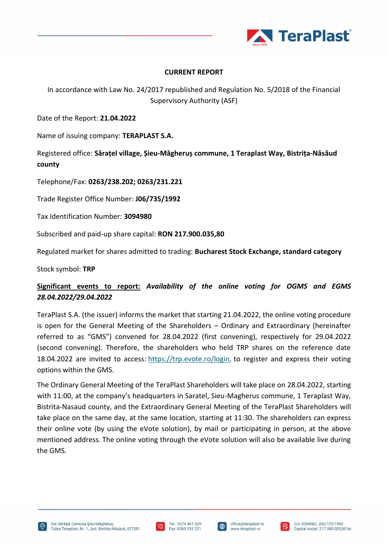

## **CURRENT REPORT**

In accordance with Law No. 24/2017 republished and Regulation No. 5/2018 of the Financial Supervisory Authority (ASF)

Date of the Report: **21.04.2022**

Name of issuing company: **TERAPLAST S.A.**

Registered office: **Sărațel village, Șieu-Măgheruș commune, 1 Teraplast Way, Bistrița-Năsăud county**

Telephone/Fax: **0263/238.202; 0263/231.221**

Trade Register Office Number: **J06/735/1992**

Tax Identification Number: **3094980**

Subscribed and paid-up share capital: **RON 217.900.035,80** 

Regulated market for shares admitted to trading: **Bucharest Stock Exchange, standard category**

Stock symbol: **TRP**

## **Significant events to report:** *Availability of the online voting for OGMS and EGMS 28.04.2022/29.04.2022*

TeraPlast S.A. (the issuer) informs the market that starting 21.04.2022, the online voting procedure is open for the General Meeting of the Shareholders – Ordinary and Extraordinary (hereinafter referred to as "GMS") convened for 28.04.2022 (first convening), respectively for 29.04.2022 (second convening). Therefore, the shareholders who held TRP shares on the reference date 18.04.2022 are invited to access: [https://trp.evote.ro/login,](https://trp.evote.ro/login) to register and express their voting options within the GMS.

The Ordinary General Meeting of the TeraPlast Shareholders will take place on 28.04.2022, starting with 11:00, at the company's headquarters in Saratel, Sieu-Magherus commune, 1 Teraplast Way, Bistrita-Nasaud county, and the Extraordinary General Meeting of the TeraPlast Shareholders will take place on the same day, at the same location, starting at 11:30. The shareholders can express their online vote (by using the eVote solution), by mail or participating in person, at the above mentioned address. The online voting through the eVote solution will also be available live during the GMS.